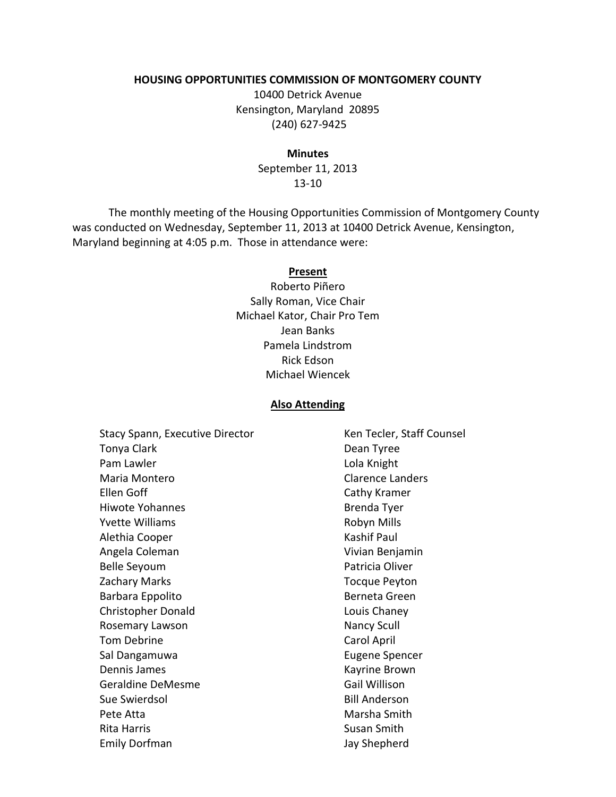#### **HOUSING OPPORTUNITIES COMMISSION OF MONTGOMERY COUNTY**

10400 Detrick Avenue Kensington, Maryland 20895 (240) 627-9425

#### **Minutes**

September 11, 2013 13-10

The monthly meeting of the Housing Opportunities Commission of Montgomery County was conducted on Wednesday, September 11, 2013 at 10400 Detrick Avenue, Kensington, Maryland beginning at 4:05 p.m. Those in attendance were:

#### **Present**

Roberto Piñero Sally Roman, Vice Chair Michael Kator, Chair Pro Tem Jean Banks Pamela Lindstrom Rick Edson Michael Wiencek

#### **Also Attending**

Stacy Spann, Executive Director Tonya Clark Pam Lawler Maria Montero Ellen Goff Hiwote Yohannes Yvette Williams Alethia Cooper Angela Coleman Belle Seyoum Zachary Marks Barbara Eppolito Christopher Donald Rosemary Lawson Tom Debrine Sal Dangamuwa Dennis James Geraldine DeMesme Sue Swierdsol Pete Atta Rita Harris Emily Dorfman

Ken Tecler, Staff Counsel Dean Tyree Lola Knight Clarence Landers Cathy Kramer Brenda Tyer Robyn Mills Kashif Paul Vivian Benjamin Patricia Oliver Tocque Peyton Berneta Green Louis Chaney Nancy Scull Carol April Eugene Spencer Kayrine Brown Gail Willison Bill Anderson Marsha Smith Susan Smith Jay Shepherd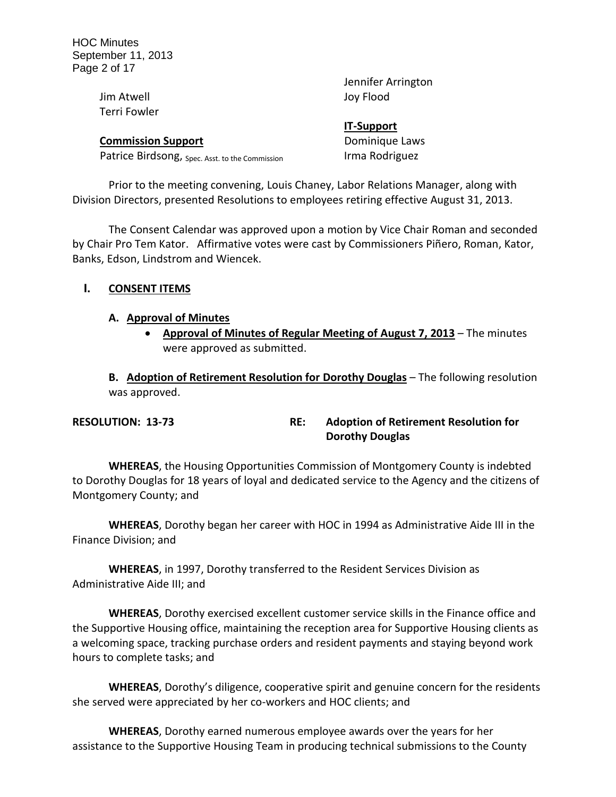| Jennifer Arrington |
|--------------------|
| Joy Flood          |
|                    |
| <b>IT-Support</b>  |
| Dominique Laws     |
| Irma Rodriguez     |
|                    |

Prior to the meeting convening, Louis Chaney, Labor Relations Manager, along with Division Directors, presented Resolutions to employees retiring effective August 31, 2013.

The Consent Calendar was approved upon a motion by Vice Chair Roman and seconded by Chair Pro Tem Kator. Affirmative votes were cast by Commissioners Piñero, Roman, Kator, Banks, Edson, Lindstrom and Wiencek.

### **I. CONSENT ITEMS**

#### **A. Approval of Minutes**

 **Approval of Minutes of Regular Meeting of August 7, 2013** – The minutes were approved as submitted.

**B. Adoption of Retirement Resolution for Dorothy Douglas** – The following resolution was approved.

| <b>RESOLUTION: 13-73</b> | <b>Adoption of Retirement Resolution for</b> |
|--------------------------|----------------------------------------------|
|                          | <b>Dorothy Douglas</b>                       |

**WHEREAS**, the Housing Opportunities Commission of Montgomery County is indebted to Dorothy Douglas for 18 years of loyal and dedicated service to the Agency and the citizens of Montgomery County; and

**WHEREAS**, Dorothy began her career with HOC in 1994 as Administrative Aide III in the Finance Division; and

**WHEREAS**, in 1997, Dorothy transferred to the Resident Services Division as Administrative Aide III; and

**WHEREAS**, Dorothy exercised excellent customer service skills in the Finance office and the Supportive Housing office, maintaining the reception area for Supportive Housing clients as a welcoming space, tracking purchase orders and resident payments and staying beyond work hours to complete tasks; and

**WHEREAS**, Dorothy's diligence, cooperative spirit and genuine concern for the residents she served were appreciated by her co-workers and HOC clients; and

**WHEREAS**, Dorothy earned numerous employee awards over the years for her assistance to the Supportive Housing Team in producing technical submissions to the County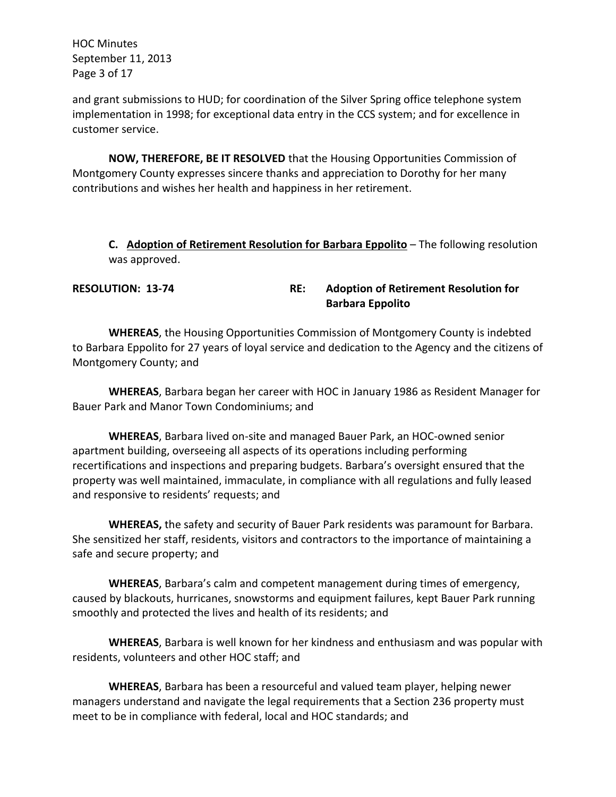HOC Minutes September 11, 2013 Page 3 of 17

and grant submissions to HUD; for coordination of the Silver Spring office telephone system implementation in 1998; for exceptional data entry in the CCS system; and for excellence in customer service.

**NOW, THEREFORE, BE IT RESOLVED** that the Housing Opportunities Commission of Montgomery County expresses sincere thanks and appreciation to Dorothy for her many contributions and wishes her health and happiness in her retirement.

**C. Adoption of Retirement Resolution for Barbara Eppolito** – The following resolution was approved.

**RESOLUTION: 13-74 RE: Adoption of Retirement Resolution for Barbara Eppolito**

**WHEREAS**, the Housing Opportunities Commission of Montgomery County is indebted to Barbara Eppolito for 27 years of loyal service and dedication to the Agency and the citizens of Montgomery County; and

**WHEREAS**, Barbara began her career with HOC in January 1986 as Resident Manager for Bauer Park and Manor Town Condominiums; and

**WHEREAS**, Barbara lived on-site and managed Bauer Park, an HOC-owned senior apartment building, overseeing all aspects of its operations including performing recertifications and inspections and preparing budgets. Barbara's oversight ensured that the property was well maintained, immaculate, in compliance with all regulations and fully leased and responsive to residents' requests; and

**WHEREAS,** the safety and security of Bauer Park residents was paramount for Barbara. She sensitized her staff, residents, visitors and contractors to the importance of maintaining a safe and secure property; and

**WHEREAS**, Barbara's calm and competent management during times of emergency, caused by blackouts, hurricanes, snowstorms and equipment failures, kept Bauer Park running smoothly and protected the lives and health of its residents; and

**WHEREAS**, Barbara is well known for her kindness and enthusiasm and was popular with residents, volunteers and other HOC staff; and

**WHEREAS**, Barbara has been a resourceful and valued team player, helping newer managers understand and navigate the legal requirements that a Section 236 property must meet to be in compliance with federal, local and HOC standards; and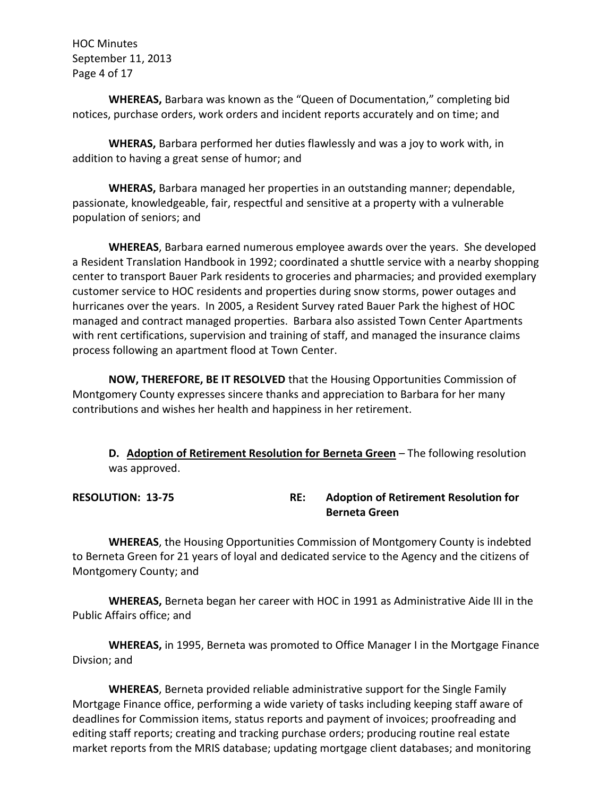HOC Minutes September 11, 2013 Page 4 of 17

**WHEREAS,** Barbara was known as the "Queen of Documentation," completing bid notices, purchase orders, work orders and incident reports accurately and on time; and

**WHERAS,** Barbara performed her duties flawlessly and was a joy to work with, in addition to having a great sense of humor; and

**WHERAS,** Barbara managed her properties in an outstanding manner; dependable, passionate, knowledgeable, fair, respectful and sensitive at a property with a vulnerable population of seniors; and

**WHEREAS**, Barbara earned numerous employee awards over the years. She developed a Resident Translation Handbook in 1992; coordinated a shuttle service with a nearby shopping center to transport Bauer Park residents to groceries and pharmacies; and provided exemplary customer service to HOC residents and properties during snow storms, power outages and hurricanes over the years. In 2005, a Resident Survey rated Bauer Park the highest of HOC managed and contract managed properties. Barbara also assisted Town Center Apartments with rent certifications, supervision and training of staff, and managed the insurance claims process following an apartment flood at Town Center.

**NOW, THEREFORE, BE IT RESOLVED** that the Housing Opportunities Commission of Montgomery County expresses sincere thanks and appreciation to Barbara for her many contributions and wishes her health and happiness in her retirement.

**D. Adoption of Retirement Resolution for Berneta Green** – The following resolution was approved.

**RESOLUTION: 13-75 RE: Adoption of Retirement Resolution for Berneta Green**

**WHEREAS**, the Housing Opportunities Commission of Montgomery County is indebted to Berneta Green for 21 years of loyal and dedicated service to the Agency and the citizens of Montgomery County; and

**WHEREAS,** Berneta began her career with HOC in 1991 as Administrative Aide III in the Public Affairs office; and

**WHEREAS,** in 1995, Berneta was promoted to Office Manager I in the Mortgage Finance Divsion; and

**WHEREAS**, Berneta provided reliable administrative support for the Single Family Mortgage Finance office, performing a wide variety of tasks including keeping staff aware of deadlines for Commission items, status reports and payment of invoices; proofreading and editing staff reports; creating and tracking purchase orders; producing routine real estate market reports from the MRIS database; updating mortgage client databases; and monitoring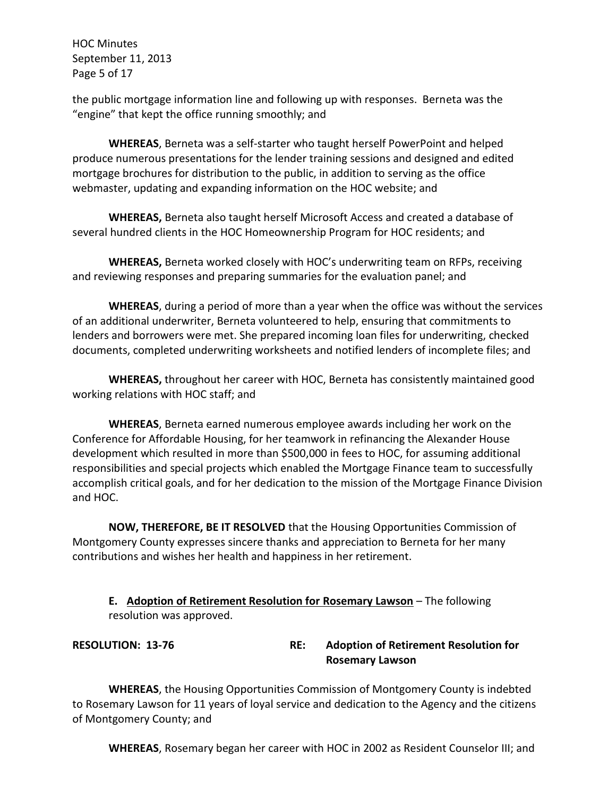HOC Minutes September 11, 2013 Page 5 of 17

the public mortgage information line and following up with responses. Berneta was the "engine" that kept the office running smoothly; and

**WHEREAS**, Berneta was a self-starter who taught herself PowerPoint and helped produce numerous presentations for the lender training sessions and designed and edited mortgage brochures for distribution to the public, in addition to serving as the office webmaster, updating and expanding information on the HOC website; and

**WHEREAS,** Berneta also taught herself Microsoft Access and created a database of several hundred clients in the HOC Homeownership Program for HOC residents; and

**WHEREAS,** Berneta worked closely with HOC's underwriting team on RFPs, receiving and reviewing responses and preparing summaries for the evaluation panel; and

**WHEREAS**, during a period of more than a year when the office was without the services of an additional underwriter, Berneta volunteered to help, ensuring that commitments to lenders and borrowers were met. She prepared incoming loan files for underwriting, checked documents, completed underwriting worksheets and notified lenders of incomplete files; and

**WHEREAS,** throughout her career with HOC, Berneta has consistently maintained good working relations with HOC staff; and

**WHEREAS**, Berneta earned numerous employee awards including her work on the Conference for Affordable Housing, for her teamwork in refinancing the Alexander House development which resulted in more than \$500,000 in fees to HOC, for assuming additional responsibilities and special projects which enabled the Mortgage Finance team to successfully accomplish critical goals, and for her dedication to the mission of the Mortgage Finance Division and HOC.

**NOW, THEREFORE, BE IT RESOLVED** that the Housing Opportunities Commission of Montgomery County expresses sincere thanks and appreciation to Berneta for her many contributions and wishes her health and happiness in her retirement.

**E. Adoption of Retirement Resolution for Rosemary Lawson** – The following resolution was approved.

## **RESOLUTION: 13-76 RE: Adoption of Retirement Resolution for Rosemary Lawson**

**WHEREAS**, the Housing Opportunities Commission of Montgomery County is indebted to Rosemary Lawson for 11 years of loyal service and dedication to the Agency and the citizens of Montgomery County; and

**WHEREAS**, Rosemary began her career with HOC in 2002 as Resident Counselor III; and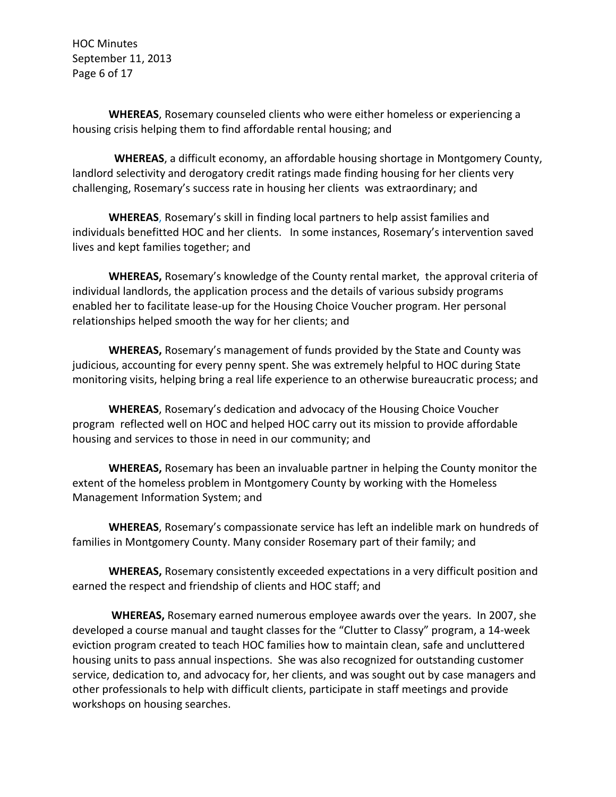HOC Minutes September 11, 2013 Page 6 of 17

**WHEREAS**, Rosemary counseled clients who were either homeless or experiencing a housing crisis helping them to find affordable rental housing; and

 **WHEREAS**, a difficult economy, an affordable housing shortage in Montgomery County, landlord selectivity and derogatory credit ratings made finding housing for her clients very challenging, Rosemary's success rate in housing her clients was extraordinary; and

**WHEREAS**, Rosemary's skill in finding local partners to help assist families and individuals benefitted HOC and her clients. In some instances, Rosemary's intervention saved lives and kept families together; and

**WHEREAS,** Rosemary's knowledge of the County rental market, the approval criteria of individual landlords, the application process and the details of various subsidy programs enabled her to facilitate lease-up for the Housing Choice Voucher program. Her personal relationships helped smooth the way for her clients; and

**WHEREAS,** Rosemary's management of funds provided by the State and County was judicious, accounting for every penny spent. She was extremely helpful to HOC during State monitoring visits, helping bring a real life experience to an otherwise bureaucratic process; and

**WHEREAS**, Rosemary's dedication and advocacy of the Housing Choice Voucher program reflected well on HOC and helped HOC carry out its mission to provide affordable housing and services to those in need in our community; and

**WHEREAS,** Rosemary has been an invaluable partner in helping the County monitor the extent of the homeless problem in Montgomery County by working with the Homeless Management Information System; and

**WHEREAS**, Rosemary's compassionate service has left an indelible mark on hundreds of families in Montgomery County. Many consider Rosemary part of their family; and

**WHEREAS,** Rosemary consistently exceeded expectations in a very difficult position and earned the respect and friendship of clients and HOC staff; and

**WHEREAS,** Rosemary earned numerous employee awards over the years. In 2007, she developed a course manual and taught classes for the "Clutter to Classy" program, a 14-week eviction program created to teach HOC families how to maintain clean, safe and uncluttered housing units to pass annual inspections. She was also recognized for outstanding customer service, dedication to, and advocacy for, her clients, and was sought out by case managers and other professionals to help with difficult clients, participate in staff meetings and provide workshops on housing searches.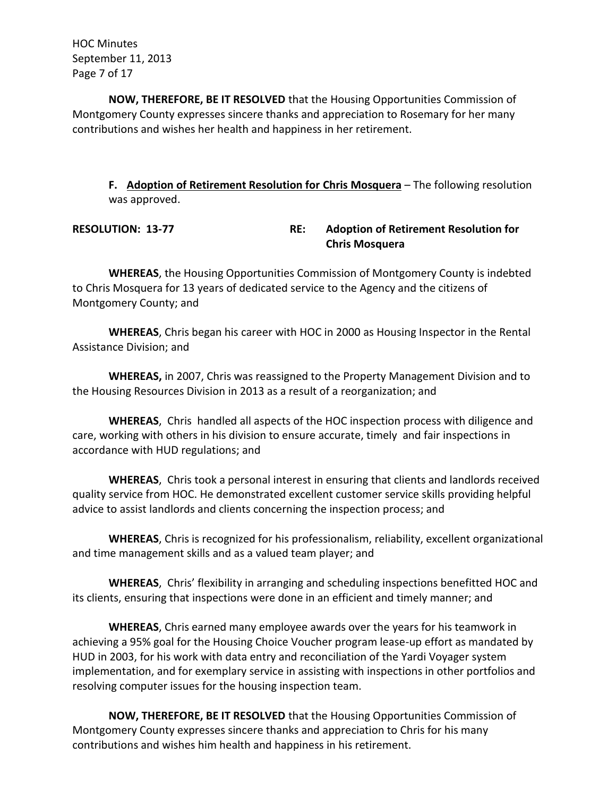HOC Minutes September 11, 2013 Page 7 of 17

**NOW, THEREFORE, BE IT RESOLVED** that the Housing Opportunities Commission of Montgomery County expresses sincere thanks and appreciation to Rosemary for her many contributions and wishes her health and happiness in her retirement.

**F. Adoption of Retirement Resolution for Chris Mosquera** – The following resolution was approved.

**RESOLUTION: 13-77 RE: Adoption of Retirement Resolution for Chris Mosquera**

**WHEREAS**, the Housing Opportunities Commission of Montgomery County is indebted to Chris Mosquera for 13 years of dedicated service to the Agency and the citizens of Montgomery County; and

**WHEREAS**, Chris began his career with HOC in 2000 as Housing Inspector in the Rental Assistance Division; and

**WHEREAS,** in 2007, Chris was reassigned to the Property Management Division and to the Housing Resources Division in 2013 as a result of a reorganization; and

**WHEREAS**, Chris handled all aspects of the HOC inspection process with diligence and care, working with others in his division to ensure accurate, timely and fair inspections in accordance with HUD regulations; and

**WHEREAS**, Chris took a personal interest in ensuring that clients and landlords received quality service from HOC. He demonstrated excellent customer service skills providing helpful advice to assist landlords and clients concerning the inspection process; and

**WHEREAS**, Chris is recognized for his professionalism, reliability, excellent organizational and time management skills and as a valued team player; and

**WHEREAS**, Chris' flexibility in arranging and scheduling inspections benefitted HOC and its clients, ensuring that inspections were done in an efficient and timely manner; and

**WHEREAS**, Chris earned many employee awards over the years for his teamwork in achieving a 95% goal for the Housing Choice Voucher program lease-up effort as mandated by HUD in 2003, for his work with data entry and reconciliation of the Yardi Voyager system implementation, and for exemplary service in assisting with inspections in other portfolios and resolving computer issues for the housing inspection team.

**NOW, THEREFORE, BE IT RESOLVED** that the Housing Opportunities Commission of Montgomery County expresses sincere thanks and appreciation to Chris for his many contributions and wishes him health and happiness in his retirement.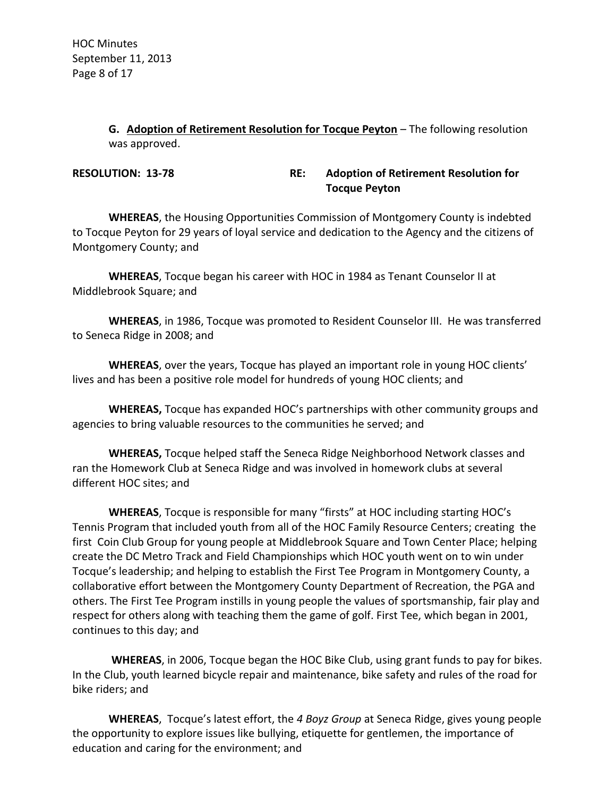**G. Adoption of Retirement Resolution for Tocque Peyton** – The following resolution was approved.

**RESOLUTION: 13-78 RE: Adoption of Retirement Resolution for Tocque Peyton**

**WHEREAS**, the Housing Opportunities Commission of Montgomery County is indebted to Tocque Peyton for 29 years of loyal service and dedication to the Agency and the citizens of Montgomery County; and

**WHEREAS**, Tocque began his career with HOC in 1984 as Tenant Counselor II at Middlebrook Square; and

**WHEREAS**, in 1986, Tocque was promoted to Resident Counselor III. He was transferred to Seneca Ridge in 2008; and

**WHEREAS**, over the years, Tocque has played an important role in young HOC clients' lives and has been a positive role model for hundreds of young HOC clients; and

**WHEREAS,** Tocque has expanded HOC's partnerships with other community groups and agencies to bring valuable resources to the communities he served; and

**WHEREAS,** Tocque helped staff the Seneca Ridge Neighborhood Network classes and ran the Homework Club at Seneca Ridge and was involved in homework clubs at several different HOC sites; and

**WHEREAS**, Tocque is responsible for many "firsts" at HOC including starting HOC's Tennis Program that included youth from all of the HOC Family Resource Centers; creating the first Coin Club Group for young people at Middlebrook Square and Town Center Place; helping create the DC Metro Track and Field Championships which HOC youth went on to win under Tocque's leadership; and helping to establish the First Tee Program in Montgomery County, a collaborative effort between the Montgomery County Department of Recreation, the PGA and others. The First Tee Program instills in young people the values of sportsmanship, fair play and respect for others along with teaching them the game of golf. First Tee, which began in 2001, continues to this day; and

**WHEREAS**, in 2006, Tocque began the HOC Bike Club, using grant funds to pay for bikes. In the Club, youth learned bicycle repair and maintenance, bike safety and rules of the road for bike riders; and

**WHEREAS**, Tocque's latest effort, the *4 Boyz Group* at Seneca Ridge, gives young people the opportunity to explore issues like bullying, etiquette for gentlemen, the importance of education and caring for the environment; and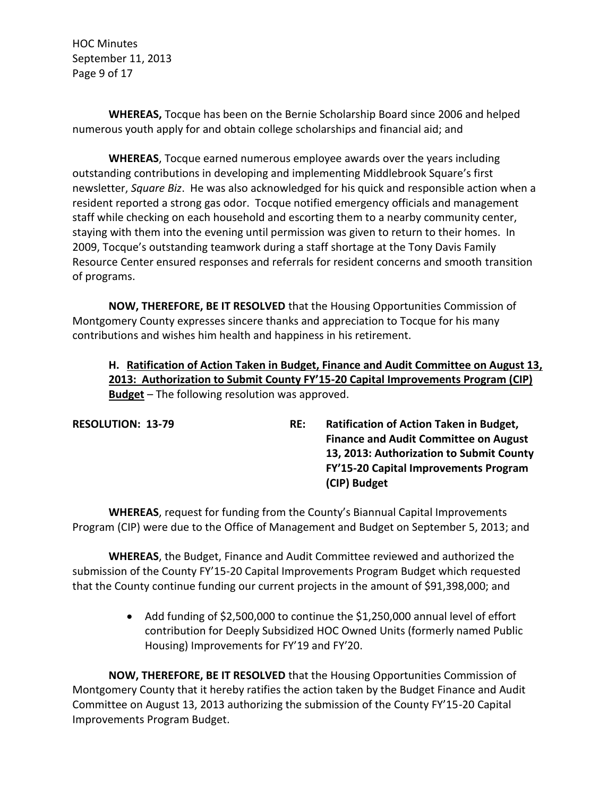HOC Minutes September 11, 2013 Page 9 of 17

**WHEREAS,** Tocque has been on the Bernie Scholarship Board since 2006 and helped numerous youth apply for and obtain college scholarships and financial aid; and

**WHEREAS**, Tocque earned numerous employee awards over the years including outstanding contributions in developing and implementing Middlebrook Square's first newsletter, *Square Biz*. He was also acknowledged for his quick and responsible action when a resident reported a strong gas odor. Tocque notified emergency officials and management staff while checking on each household and escorting them to a nearby community center, staying with them into the evening until permission was given to return to their homes. In 2009, Tocque's outstanding teamwork during a staff shortage at the Tony Davis Family Resource Center ensured responses and referrals for resident concerns and smooth transition of programs.

**NOW, THEREFORE, BE IT RESOLVED** that the Housing Opportunities Commission of Montgomery County expresses sincere thanks and appreciation to Tocque for his many contributions and wishes him health and happiness in his retirement.

# **H. Ratification of Action Taken in Budget, Finance and Audit Committee on August 13, 2013: Authorization to Submit County FY'15-20 Capital Improvements Program (CIP) Budget** – The following resolution was approved.

**RESOLUTION: 13-79 RE: Ratification of Action Taken in Budget, Finance and Audit Committee on August 13, 2013: Authorization to Submit County FY'15-20 Capital Improvements Program (CIP) Budget**

**WHEREAS**, request for funding from the County's Biannual Capital Improvements Program (CIP) were due to the Office of Management and Budget on September 5, 2013; and

**WHEREAS**, the Budget, Finance and Audit Committee reviewed and authorized the submission of the County FY'15-20 Capital Improvements Program Budget which requested that the County continue funding our current projects in the amount of \$91,398,000; and

> Add funding of \$2,500,000 to continue the \$1,250,000 annual level of effort contribution for Deeply Subsidized HOC Owned Units (formerly named Public Housing) Improvements for FY'19 and FY'20.

**NOW, THEREFORE, BE IT RESOLVED** that the Housing Opportunities Commission of Montgomery County that it hereby ratifies the action taken by the Budget Finance and Audit Committee on August 13, 2013 authorizing the submission of the County FY'15-20 Capital Improvements Program Budget.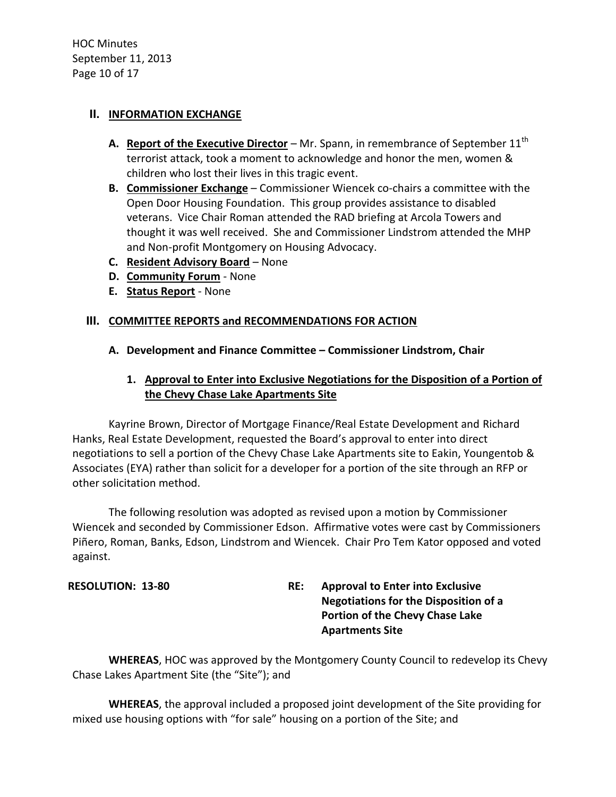HOC Minutes September 11, 2013 Page 10 of 17

### **II. INFORMATION EXCHANGE**

- **A.** Report of the Executive Director Mr. Spann, in remembrance of September 11<sup>th</sup> terrorist attack, took a moment to acknowledge and honor the men, women & children who lost their lives in this tragic event.
- **B. Commissioner Exchange** Commissioner Wiencek co-chairs a committee with the Open Door Housing Foundation. This group provides assistance to disabled veterans. Vice Chair Roman attended the RAD briefing at Arcola Towers and thought it was well received. She and Commissioner Lindstrom attended the MHP and Non-profit Montgomery on Housing Advocacy.
- **C. Resident Advisory Board** None
- **D. Community Forum** None
- **E. Status Report** None

### **III. COMMITTEE REPORTS and RECOMMENDATIONS FOR ACTION**

- **A. Development and Finance Committee – Commissioner Lindstrom, Chair**
	- **1. Approval to Enter into Exclusive Negotiations for the Disposition of a Portion of the Chevy Chase Lake Apartments Site**

Kayrine Brown, Director of Mortgage Finance/Real Estate Development and Richard Hanks, Real Estate Development, requested the Board's approval to enter into direct negotiations to sell a portion of the Chevy Chase Lake Apartments site to Eakin, Youngentob & Associates (EYA) rather than solicit for a developer for a portion of the site through an RFP or other solicitation method.

The following resolution was adopted as revised upon a motion by Commissioner Wiencek and seconded by Commissioner Edson. Affirmative votes were cast by Commissioners Piñero, Roman, Banks, Edson, Lindstrom and Wiencek. Chair Pro Tem Kator opposed and voted against.

**RESOLUTION: 13-80 RE: Approval to Enter into Exclusive Negotiations for the Disposition of a Portion of the Chevy Chase Lake Apartments Site**

**WHEREAS**, HOC was approved by the Montgomery County Council to redevelop its Chevy Chase Lakes Apartment Site (the "Site"); and

**WHEREAS**, the approval included a proposed joint development of the Site providing for mixed use housing options with "for sale" housing on a portion of the Site; and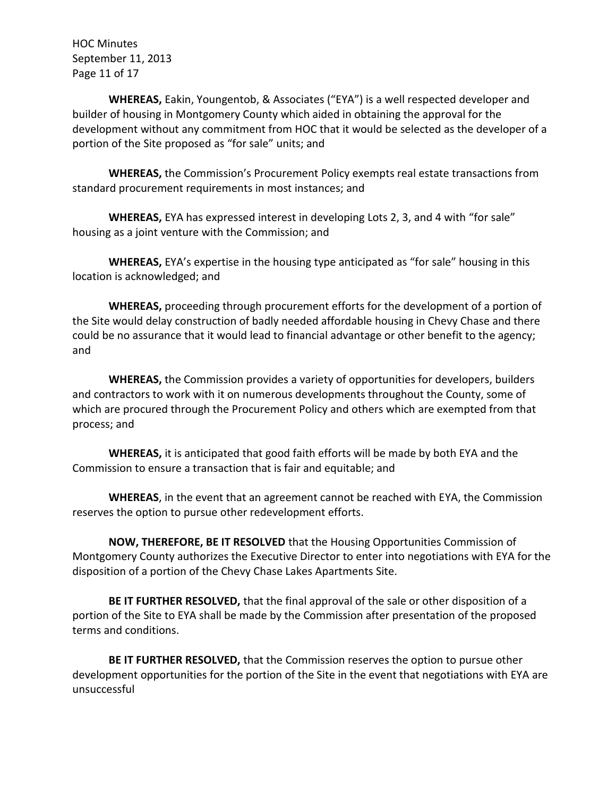HOC Minutes September 11, 2013 Page 11 of 17

**WHEREAS,** Eakin, Youngentob, & Associates ("EYA") is a well respected developer and builder of housing in Montgomery County which aided in obtaining the approval for the development without any commitment from HOC that it would be selected as the developer of a portion of the Site proposed as "for sale" units; and

**WHEREAS,** the Commission's Procurement Policy exempts real estate transactions from standard procurement requirements in most instances; and

**WHEREAS,** EYA has expressed interest in developing Lots 2, 3, and 4 with "for sale" housing as a joint venture with the Commission; and

**WHEREAS,** EYA's expertise in the housing type anticipated as "for sale" housing in this location is acknowledged; and

**WHEREAS,** proceeding through procurement efforts for the development of a portion of the Site would delay construction of badly needed affordable housing in Chevy Chase and there could be no assurance that it would lead to financial advantage or other benefit to the agency; and

**WHEREAS,** the Commission provides a variety of opportunities for developers, builders and contractors to work with it on numerous developments throughout the County, some of which are procured through the Procurement Policy and others which are exempted from that process; and

**WHEREAS,** it is anticipated that good faith efforts will be made by both EYA and the Commission to ensure a transaction that is fair and equitable; and

**WHEREAS**, in the event that an agreement cannot be reached with EYA, the Commission reserves the option to pursue other redevelopment efforts.

**NOW, THEREFORE, BE IT RESOLVED** that the Housing Opportunities Commission of Montgomery County authorizes the Executive Director to enter into negotiations with EYA for the disposition of a portion of the Chevy Chase Lakes Apartments Site.

**BE IT FURTHER RESOLVED,** that the final approval of the sale or other disposition of a portion of the Site to EYA shall be made by the Commission after presentation of the proposed terms and conditions.

**BE IT FURTHER RESOLVED,** that the Commission reserves the option to pursue other development opportunities for the portion of the Site in the event that negotiations with EYA are unsuccessful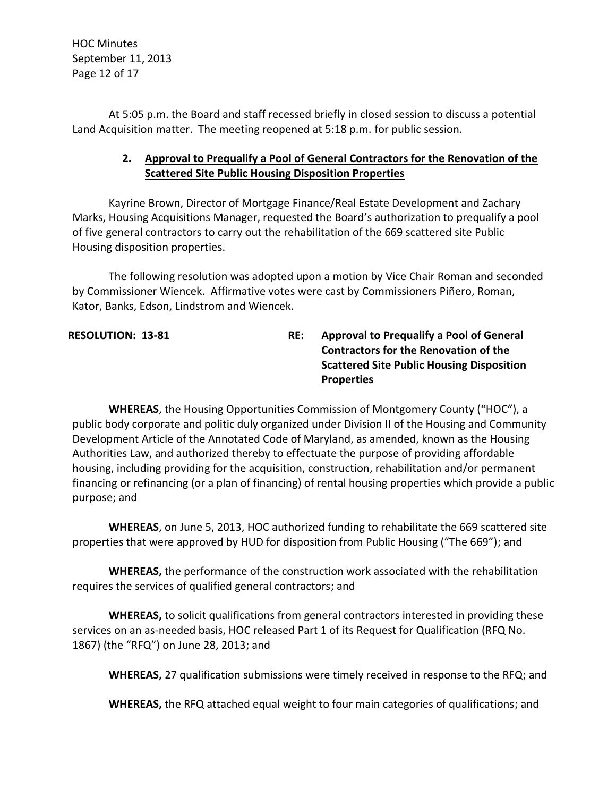HOC Minutes September 11, 2013 Page 12 of 17

At 5:05 p.m. the Board and staff recessed briefly in closed session to discuss a potential Land Acquisition matter. The meeting reopened at 5:18 p.m. for public session.

# **2. Approval to Prequalify a Pool of General Contractors for the Renovation of the Scattered Site Public Housing Disposition Properties**

Kayrine Brown, Director of Mortgage Finance/Real Estate Development and Zachary Marks, Housing Acquisitions Manager, requested the Board's authorization to prequalify a pool of five general contractors to carry out the rehabilitation of the 669 scattered site Public Housing disposition properties.

The following resolution was adopted upon a motion by Vice Chair Roman and seconded by Commissioner Wiencek. Affirmative votes were cast by Commissioners Piñero, Roman, Kator, Banks, Edson, Lindstrom and Wiencek.

**RESOLUTION: 13-81 RE: Approval to Prequalify a Pool of General Contractors for the Renovation of the Scattered Site Public Housing Disposition Properties**

**WHEREAS**, the Housing Opportunities Commission of Montgomery County ("HOC"), a public body corporate and politic duly organized under Division II of the Housing and Community Development Article of the Annotated Code of Maryland, as amended, known as the Housing Authorities Law, and authorized thereby to effectuate the purpose of providing affordable housing, including providing for the acquisition, construction, rehabilitation and/or permanent financing or refinancing (or a plan of financing) of rental housing properties which provide a public purpose; and

**WHEREAS**, on June 5, 2013, HOC authorized funding to rehabilitate the 669 scattered site properties that were approved by HUD for disposition from Public Housing ("The 669"); and

**WHEREAS,** the performance of the construction work associated with the rehabilitation requires the services of qualified general contractors; and

**WHEREAS,** to solicit qualifications from general contractors interested in providing these services on an as-needed basis, HOC released Part 1 of its Request for Qualification (RFQ No. 1867) (the "RFQ") on June 28, 2013; and

**WHEREAS,** 27 qualification submissions were timely received in response to the RFQ; and

**WHEREAS,** the RFQ attached equal weight to four main categories of qualifications; and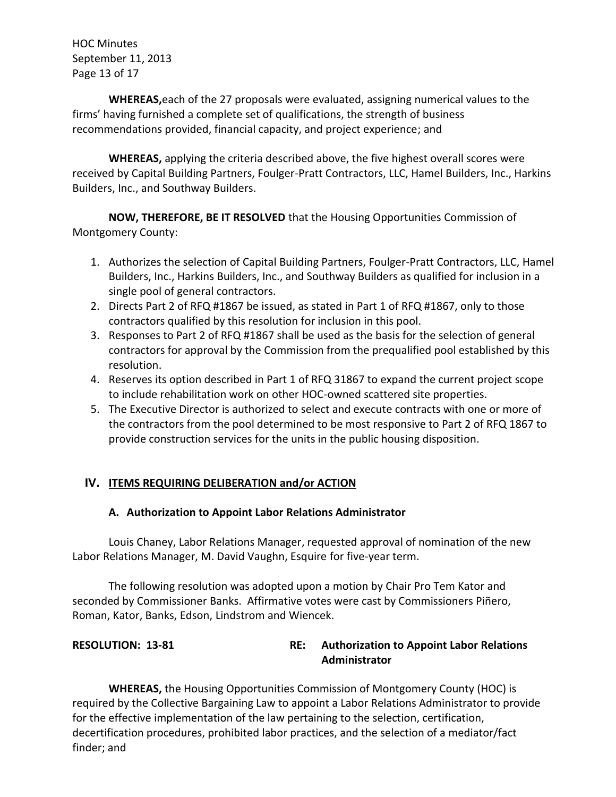HOC Minutes September 11, 2013 Page 13 of 17

**WHEREAS,**each of the 27 proposals were evaluated, assigning numerical values to the firms' having furnished a complete set of qualifications, the strength of business recommendations provided, financial capacity, and project experience; and

**WHEREAS,** applying the criteria described above, the five highest overall scores were received by Capital Building Partners, Foulger-Pratt Contractors, LLC, Hamel Builders, Inc., Harkins Builders, Inc., and Southway Builders.

**NOW, THEREFORE, BE IT RESOLVED** that the Housing Opportunities Commission of Montgomery County:

- 1. Authorizes the selection of Capital Building Partners, Foulger-Pratt Contractors, LLC, Hamel Builders, Inc., Harkins Builders, Inc., and Southway Builders as qualified for inclusion in a single pool of general contractors.
- 2. Directs Part 2 of RFQ #1867 be issued, as stated in Part 1 of RFQ #1867, only to those contractors qualified by this resolution for inclusion in this pool.
- 3. Responses to Part 2 of RFQ #1867 shall be used as the basis for the selection of general contractors for approval by the Commission from the prequalified pool established by this resolution.
- 4. Reserves its option described in Part 1 of RFQ 31867 to expand the current project scope to include rehabilitation work on other HOC-owned scattered site properties.
- 5. The Executive Director is authorized to select and execute contracts with one or more of the contractors from the pool determined to be most responsive to Part 2 of RFQ 1867 to provide construction services for the units in the public housing disposition.

# **IV. ITEMS REQUIRING DELIBERATION and/or ACTION**

## **A. Authorization to Appoint Labor Relations Administrator**

Louis Chaney, Labor Relations Manager, requested approval of nomination of the new Labor Relations Manager, M. David Vaughn, Esquire for five-year term.

The following resolution was adopted upon a motion by Chair Pro Tem Kator and seconded by Commissioner Banks. Affirmative votes were cast by Commissioners Piñero, Roman, Kator, Banks, Edson, Lindstrom and Wiencek.

## **RESOLUTION: 13-81 RE: Authorization to Appoint Labor Relations Administrator**

**WHEREAS,** the Housing Opportunities Commission of Montgomery County (HOC) is required by the Collective Bargaining Law to appoint a Labor Relations Administrator to provide for the effective implementation of the law pertaining to the selection, certification, decertification procedures, prohibited labor practices, and the selection of a mediator/fact finder; and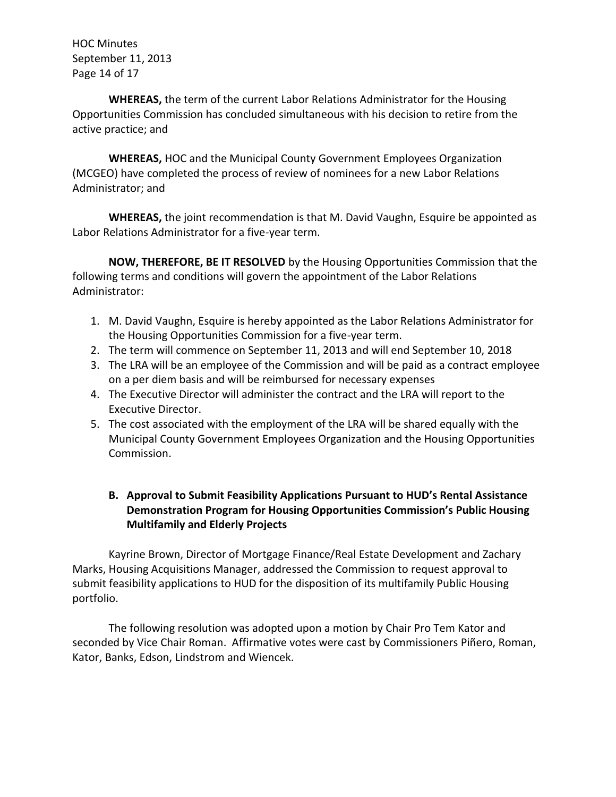HOC Minutes September 11, 2013 Page 14 of 17

**WHEREAS,** the term of the current Labor Relations Administrator for the Housing Opportunities Commission has concluded simultaneous with his decision to retire from the active practice; and

**WHEREAS,** HOC and the Municipal County Government Employees Organization (MCGEO) have completed the process of review of nominees for a new Labor Relations Administrator; and

**WHEREAS,** the joint recommendation is that M. David Vaughn, Esquire be appointed as Labor Relations Administrator for a five-year term.

**NOW, THEREFORE, BE IT RESOLVED** by the Housing Opportunities Commission that the following terms and conditions will govern the appointment of the Labor Relations Administrator:

- 1. M. David Vaughn, Esquire is hereby appointed as the Labor Relations Administrator for the Housing Opportunities Commission for a five-year term.
- 2. The term will commence on September 11, 2013 and will end September 10, 2018
- 3. The LRA will be an employee of the Commission and will be paid as a contract employee on a per diem basis and will be reimbursed for necessary expenses
- 4. The Executive Director will administer the contract and the LRA will report to the Executive Director.
- 5. The cost associated with the employment of the LRA will be shared equally with the Municipal County Government Employees Organization and the Housing Opportunities Commission.

# **B. Approval to Submit Feasibility Applications Pursuant to HUD's Rental Assistance Demonstration Program for Housing Opportunities Commission's Public Housing Multifamily and Elderly Projects**

Kayrine Brown, Director of Mortgage Finance/Real Estate Development and Zachary Marks, Housing Acquisitions Manager, addressed the Commission to request approval to submit feasibility applications to HUD for the disposition of its multifamily Public Housing portfolio.

The following resolution was adopted upon a motion by Chair Pro Tem Kator and seconded by Vice Chair Roman. Affirmative votes were cast by Commissioners Piñero, Roman, Kator, Banks, Edson, Lindstrom and Wiencek.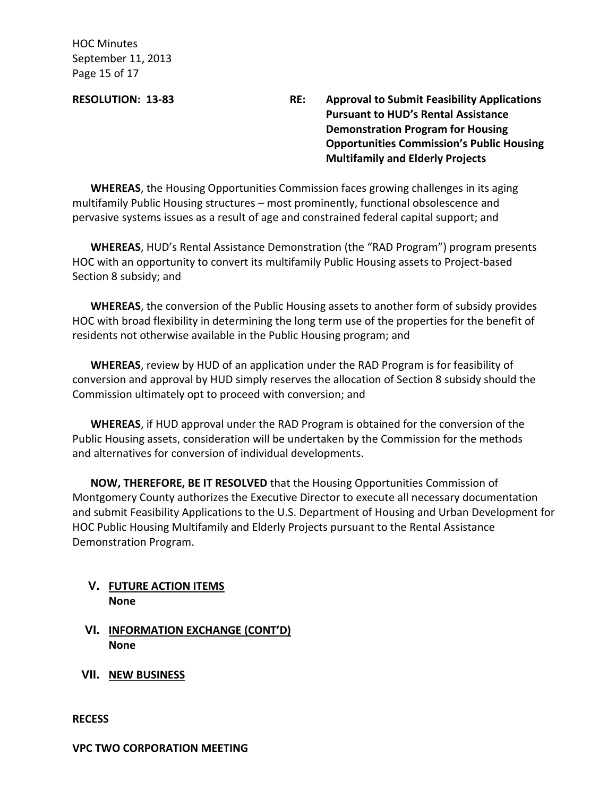HOC Minutes September 11, 2013 Page 15 of 17

**RESOLUTION: 13-83 RE: Approval to Submit Feasibility Applications Pursuant to HUD's Rental Assistance Demonstration Program for Housing Opportunities Commission's Public Housing Multifamily and Elderly Projects**

**WHEREAS**, the Housing Opportunities Commission faces growing challenges in its aging multifamily Public Housing structures – most prominently, functional obsolescence and pervasive systems issues as a result of age and constrained federal capital support; and

**WHEREAS**, HUD's Rental Assistance Demonstration (the "RAD Program") program presents HOC with an opportunity to convert its multifamily Public Housing assets to Project-based Section 8 subsidy; and

**WHEREAS**, the conversion of the Public Housing assets to another form of subsidy provides HOC with broad flexibility in determining the long term use of the properties for the benefit of residents not otherwise available in the Public Housing program; and

**WHEREAS**, review by HUD of an application under the RAD Program is for feasibility of conversion and approval by HUD simply reserves the allocation of Section 8 subsidy should the Commission ultimately opt to proceed with conversion; and

**WHEREAS**, if HUD approval under the RAD Program is obtained for the conversion of the Public Housing assets, consideration will be undertaken by the Commission for the methods and alternatives for conversion of individual developments.

**NOW, THEREFORE, BE IT RESOLVED** that the Housing Opportunities Commission of Montgomery County authorizes the Executive Director to execute all necessary documentation and submit Feasibility Applications to the U.S. Department of Housing and Urban Development for HOC Public Housing Multifamily and Elderly Projects pursuant to the Rental Assistance Demonstration Program.

## **V. FUTURE ACTION ITEMS None**

- **VI. INFORMATION EXCHANGE (CONT'D) None**
- **VII. NEW BUSINESS**

**RECESS**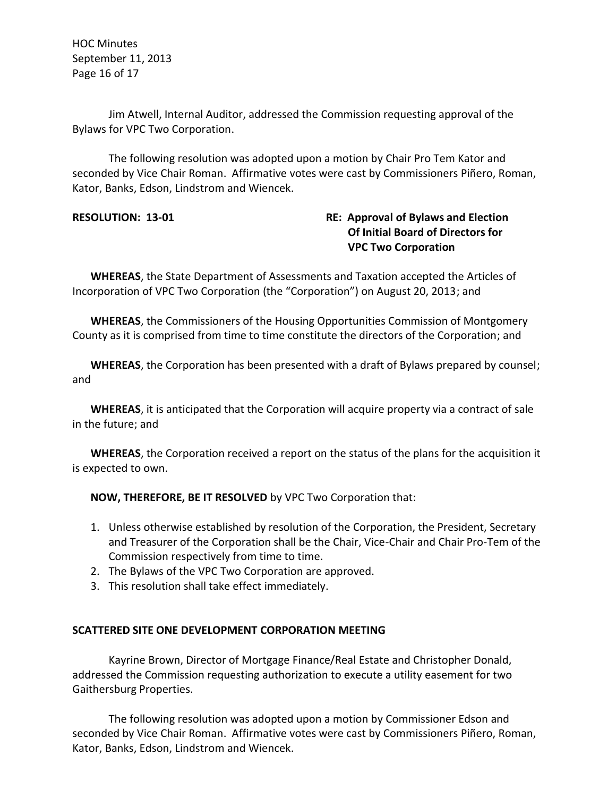HOC Minutes September 11, 2013 Page 16 of 17

Jim Atwell, Internal Auditor, addressed the Commission requesting approval of the Bylaws for VPC Two Corporation.

The following resolution was adopted upon a motion by Chair Pro Tem Kator and seconded by Vice Chair Roman. Affirmative votes were cast by Commissioners Piñero, Roman, Kator, Banks, Edson, Lindstrom and Wiencek.

# **RESOLUTION: 13-01 RE: Approval of Bylaws and Election Of Initial Board of Directors for VPC Two Corporation**

**WHEREAS**, the State Department of Assessments and Taxation accepted the Articles of Incorporation of VPC Two Corporation (the "Corporation") on August 20, 2013; and

**WHEREAS**, the Commissioners of the Housing Opportunities Commission of Montgomery County as it is comprised from time to time constitute the directors of the Corporation; and

**WHEREAS**, the Corporation has been presented with a draft of Bylaws prepared by counsel; and

**WHEREAS**, it is anticipated that the Corporation will acquire property via a contract of sale in the future; and

**WHEREAS**, the Corporation received a report on the status of the plans for the acquisition it is expected to own.

**NOW, THEREFORE, BE IT RESOLVED** by VPC Two Corporation that:

- 1. Unless otherwise established by resolution of the Corporation, the President, Secretary and Treasurer of the Corporation shall be the Chair, Vice-Chair and Chair Pro-Tem of the Commission respectively from time to time.
- 2. The Bylaws of the VPC Two Corporation are approved.
- 3. This resolution shall take effect immediately.

## **SCATTERED SITE ONE DEVELOPMENT CORPORATION MEETING**

Kayrine Brown, Director of Mortgage Finance/Real Estate and Christopher Donald, addressed the Commission requesting authorization to execute a utility easement for two Gaithersburg Properties.

The following resolution was adopted upon a motion by Commissioner Edson and seconded by Vice Chair Roman. Affirmative votes were cast by Commissioners Piñero, Roman, Kator, Banks, Edson, Lindstrom and Wiencek.